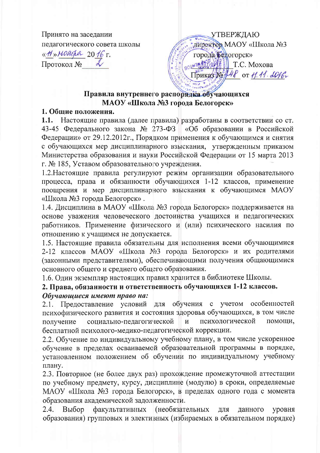Принято на заседании педагогического совета школы «M» Maroper 2016 г. Протокол №

**УТВЕРЖДАЮ** директор MAOY «Школа №3 города Белогорск» BOLH30/10000 Приказ № 148 от 11.11. 2016.

# Правила внутреннего распорядка обучающихся МАОУ «Школа №3 города Белогорск»

### 1. Общие положения.

1.1. Настоящие правила (далее правила) разработаны в соответствии со ст. 43-45 Федерального закона № 273-ФЗ «Об образовании в Российской Федерации» от 29.12.2012г., Порядком применения к обучающимся и снятия с обучающихся мер дисциплинарного взыскания, утвержденным приказом Министерства образования и науки Российской Федерации от 15 марта 2013 г. № 185, Уставом образовательного учреждения.

1.2. Настоящие правила регулируют режим организации образовательного процесса, права и обязанности обучающихся 1-12 классов, применение поощрения и мер дисциплинарного взыскания к обучающимся МАОУ «Школа №3 города Белогорск».

1.4. Дисциплина в МАОУ «Школа №3 города Белогорск» поддерживается на основе уважения человеческого достоинства учащихся и педагогических работников. Применение физического и (или) психического насилия по отношению к учащимся не допускается.

1.5. Настоящие правила обязательны для исполнения всеми обучающимися 2-12 классов МАОУ «Школа №3 города Белогорск» и их родителями (законными представителями), обеспечивающими получения общающимися основного общего и среднего общего образования.

1.6. Один экземпляр настоящих правил хранится в библиотеке Школы.

# 2. Права, обязанности и ответственность обучающихся 1-12 классов. Обучающиеся имеют право на:

2.1. Предоставление условий для обучения с учетом особенностей психофизического развития и состояния здоровья обучающихся, в том числе психологической получение социально-педагогической  $\overline{M}$ помощи, бесплатной психолого-медико-педагогической коррекции.

2.2. Обучение по индивидуальному учебному плану, в том числе ускоренное обучение в пределах осваиваемой образовательной программы в порядке, установленном положением об обучении по индивидуальному учебному плану.

2.3. Повторное (не более двух раз) прохождение промежуточной аттестации по учебному предмету, курсу, дисциплине (модулю) в сроки, определяемые МАОУ «Школа №3 города Белогорск», в пределах одного года с момента образования академической задолженности.

факультативных (необязательных  $2.4.$ Выбор **RILL** данного уровня образования) групповых и элективных (избираемых в обязательном порядке)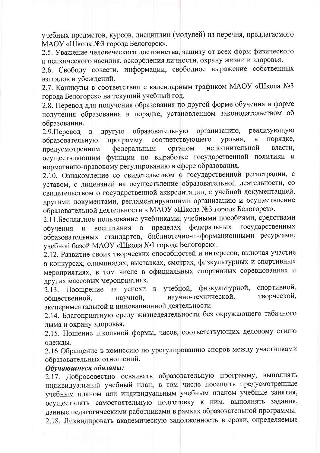учебных предметов, курсов, дисциплин (модулей) из перечня, предлагаемого МАОУ «Школа №3 города Белогорск».

2.5. Уважение человеческого достоинства, защиту от всех форм физического и психического насилия, оскорбления личности, охрану жизни и здоровья.

2.6. Свободу совести, информации, свободное выражение собственных взглядов и убеждений.

2.7. Каникулы в соответствии с календарным графиком МАОУ «Школа №3 города Белогорск» на текущий учебный год.

2.8. Перевод для получения образования по другой форме обучения и форме получения образования в порядке, установленном законодательством об образовании.

реализующую образовательную организацию, 2.9. Перевод  $\, {\bf B}$ другую порядке, соответствующего уровня,  $\overline{B}$ образовательную программу исполнительной власти, органом предусмотренном федеральным осуществляющим функции по выработке государственной политики и нормативно-правовому регулированию в сфере образования.

2.10. Ознакомление со свидетельством о государственной регистрации, с уставом, с лицензией на осуществление образовательной деятельности, со свидетельством о государственной аккредитации, с учебной документацией, другими документами, регламентирующими организацию и осуществление образовательной деятельности в МАОУ «Школа №3 города Белогорск».

2.11. Бесплатное пользование учебниками, учебными пособиями, средствами федеральных государственных пределах  $\mathbf{B}$ обучения  $\mathbf{M}$ воспитания образовательных стандартов, библиотечно-информационными ресурсами, учебной базой МАОУ «Школа №3 города Белогорск».

2.12. Развитие своих творческих способностей и интересов, включая участие в конкурсах, олимпиадах, выставках, смотрах, физкультурных и спортивных мероприятиях, в том числе в официальных спортивных соревнованиях и других массовых мероприятиях.

спортивной, учебной, физкультурной, 2.13. Поощрение за успехи в научно-технической. творческой, научной, общественной, экспериментальной и инновационной деятельности.

2.14. Благоприятную среду жизнедеятельности без окружающего табачного дыма и охрану здоровья.

2.15. Ношение школьной формы, часов, соответствующих деловому стилю одежды.

2.16 Обращение в комиссию по урегулированию споров между участниками образовательных отношений.

#### Обучающиеся обязаны:

2.17. Добросовестно осваивать образовательную программу, выполнять индивидуальный учебный план, в том числе посещать предусмотренные учебным планом или индивидуальным учебным планом учебные занятия, осуществлять самостоятельную подготовку к ним, выполнять задания, данные педагогическими работниками в рамках образовательной программы. 2.18. Ликвидировать академическую задолженность в сроки, определяемые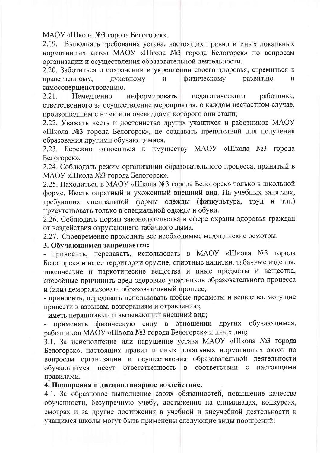МАОУ «Школа №3 города Белогорск».

2.19. Выполнять требования устава, настоящих правил и иных локальных нормативных актов МАОУ «Школа №3 города Белогорск» по вопросам организации и осуществления образовательной деятельности.

2.20. Заботиться о сохранении и укреплении своего здоровья, стремиться к нравственному, духовному И физическому развитию  $\boldsymbol{M}$ самосовершенствованию.

информировать работника, 2.21. Немедленно педагогического ответственного за осуществление мероприятия, о каждом несчастном случае, произошедшим с ними или очевидцами которого они стали;

2.22. Уважать честь и достоинство других учащихся и работников МАОУ «Школа №3 города Белогорск», не создавать препятствий для получения образования другими обучающимися.

2.23. Бережно относиться к имуществу МАОУ «Школа №3 города Белогорск».

2.24. Соблюдать режим организации образовательного процесса, принятый в МАОУ «Школа №3 города Белогорск».

2.25. Находиться в МАОУ «Школа №3 города Белогорск» только в школьной форме. Иметь опрятный и ухоженный внешний вид. На учебных занятиях, требующих специальной формы одежды (физкультура, труд и  $T.\Pi.$ присутствовать только в специальной одежде и обуви.

2.26. Соблюдать нормы законодательства в сфере охраны здоровья граждан от воздействия окружающего табачного дыма.

2.27. Своевременно проходить все необходимые медицинские осмотры.

#### 3. Обучающимся запрещается:

- приносить, передавать, использовать в МАОУ «Школа №3 города Белогорск» и на ее территории оружие, спиртные напитки, табачные изделия, токсические и наркотические вещества и иные предметы и вещества, способные причинить вред здоровью участников образовательного процесса и (или) деморализовать образовательный процесс;

- приносить, передавать использовать любые предметы и вещества, могущие привести к взрывам, возгораниям и отравлению;

- иметь неряшливый и вызывающий внешний вид;

физическую силу в отношении других обучающимся, применять работников МАОУ «Школа №3 города Белогорск» и иных лиц;

3.1. За неисполнение или нарушение устава МАОУ «Школа №3 города Белогорск», настоящих правил и иных локальных нормативных актов по вопросам организации и осуществления образовательной деятельности обучающимся несут ответственность  $\mathbf{B}$ соответствии  $\mathbf c$ настоящими правилами.

#### 4. Поощрения и дисциплинарное воздействие.

4.1. За образцовое выполнение своих обязанностей, повышение качества обученности, безупречную учебу, достижения на олимпиадах, конкурсах, смотрах и за другие достижения в учебной и внеучебной деятельности к учащимся школы могут быть применены следующие виды поощрений: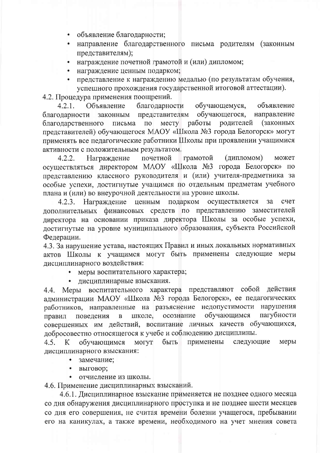- объявление благодарности;
- направление благодарственного письма родителям (законным представителям);
- награждение почетной грамотой и (или) дипломом;
- награждение ценным подарком;
- представление к награждению медалью (по результатам обучения, успешного прохождения государственной итоговой аттестации).

4.2. Процедура применения поощрений.

 $4.2.1.$ Объявление обучающемуся, благодарности объявление представителям обучающегося, направление благодарности законным работы родителей (законных Mecry благодарственного письма  $\Pi$ O представителей) обучающегося МАОУ «Школа №3 города Белогорск» могут применять все педагогические работники Школы при проявлении учащимися активности с положительным результатом.

грамотой  $4.2.2.$ Награждение почетной (дипломом) может осуществляться директором МАОУ «Школа №3 города Белогорск» по представлению классного руководителя и (или) учителя-предметника за особые успехи, достигнутые учащимся по отдельным предметам учебного плана и (или) во внеурочной деятельности на уровне школы.

4.2.3. Награждение ценным подарком осуществляется  $3a$ счет дополнительных финансовых средств по представлению заместителей директора на основании приказа директора Школы за особые успехи, достигнутые на уровне муниципального образования, субъекта Российской Федерации.

4.3. За нарушение устава, настоящих Правил и иных локальных нормативных актов Школы к учащимся могут быть применены следующие меры дисциплинарного воздействия:

- меры воспитательного характера;
- дисциплинарные взыскания.  $\bullet$

4.4. Меры воспитательного характера представляют собой действия администрации МАОУ «Школа №3 города Белогорск», ее педагогических работников, направленные на разъяснение недопустимости нарушения обучающимся пагубности школе, осознание поведения правил  $\overline{B}$ совершенных им действий, воспитание личных качеств обучающихся, добросовестно относящегося к учебе и соблюдению дисциплины.

могут следующие меры 4.5. обучающимся быть применены К дисциплинарного взыскания:

- замечание;
- выговор;
- отчисление из школы.

4.6. Применение дисциплинарных взысканий.

4.6.1. Дисциплинарное взыскание применяется не позднее одного месяца со дня обнаружения дисциплинарного проступка и не позднее шести месяцев со дня его совершения, не считая времени болезни учащегося, пребывании его на каникулах, а также времени, необходимого на учет мнения совета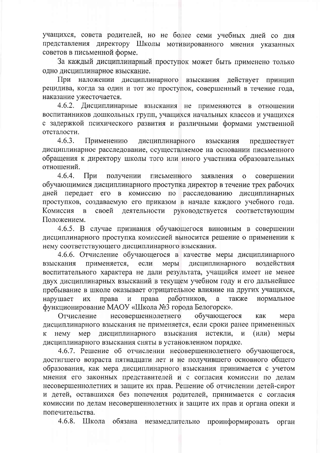учащихся, совета родителей, но не более семи учебных дней со дня представления директору Школы мотивированного мнения указанных советов в письменной форме.

За каждый дисциплинарный проступок может быть применено только одно дисциплинарное взыскание.

При наложении дисциплинарного взыскания действует принцип рецидива, когда за один и тот же проступок, совершенный в течение года, наказание ужесточается.

4.6.2. Дисциплинарные взыскания не применяются в отношении воспитанников дошкольных групп, учащихся начальных классов и учащихся с задержкой психического развития и различными формами умственной отсталости.

 $4.6.3.$ дисциплинарного Применению взыскания предшествует дисциплинарное расследование, осуществляемое на основании письменного обращения к директору школы того или иного участника образовательных отношений.

 $4.6.4.$ При получении письменного заявления совершении  $\mathbf{o}$ обучающимися дисциплинарного проступка директор в течение трех рабочих дней передает его в комиссию по расследованию дисциплинарных проступков, создаваемую его приказом в начале каждого учебного года. Комиссия своей деятельности руководствуется  $\overline{B}$ соответствующим Положением.

4.6.5. В случае признания обучающегося виновным в совершении дисциплинарного проступка комиссией выносится решение о применении к нему соответствующего дисциплинарного взыскания.

4.6.6. Отчисление обучающегося в качестве меры дисциплинарного применяется, дисциплинарного воздействия если меры взыскания воспитательного характера не дали результата, учащийся имеет не менее двух дисциплинарных взысканий в текущем учебном году и его дальнейшее пребывание в школе оказывает отрицательное влияние на других учащихся, права работников, a также нормальное нарушает ИХ права  $\,$   $\,$   $\,$   $\,$ функционирование МАОУ «Школа №3 города Белогорск».

несовершеннолетнего обучающегося Отчисление как мера дисциплинарного взыскания не применяется, если сроки ранее примененных мер дисциплинарного взыскания истекли, **HeMV**  $\mathbf{M}$  $(MJ)$ меры дисциплинарного взыскания сняты в установленном порядке.

4.6.7. Решение об отчислении несовершеннолетнего обучающегося, достигшего возраста пятнадцати лет и не получившего основного общего образования, как мера дисциплинарного взыскания принимается с учетом мнения его законных представителей и с согласия комиссии по делам несовершеннолетних и защите их прав. Решение об отчислении детей-сирот и детей, оставшихся без попечения родителей, принимается с согласия комиссии по делам несовершеннолетних и защите их прав и органа опеки и попечительства.

4.6.8. Школа обязана незамедлительно проинформировать орган